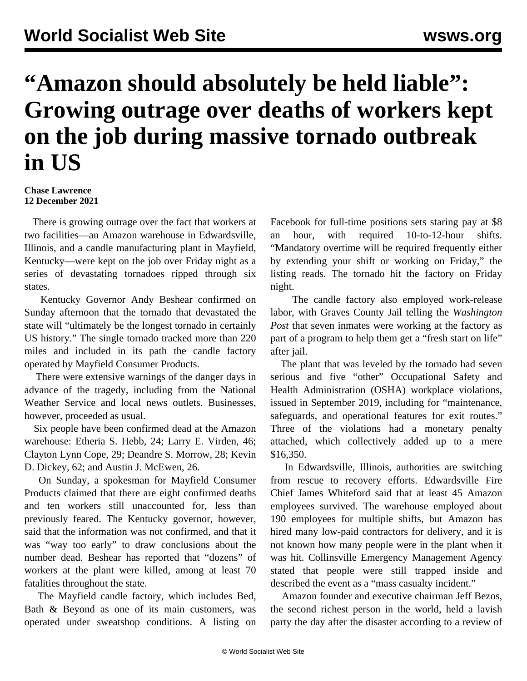## **"Amazon should absolutely be held liable": Growing outrage over deaths of workers kept on the job during massive tornado outbreak in US**

## **Chase Lawrence 12 December 2021**

 There is growing outrage over the fact that workers at two facilities—an Amazon warehouse in Edwardsville, Illinois, and a candle manufacturing plant in Mayfield, Kentucky—were kept on the job over Friday night as a series of devastating tornadoes ripped through six states.

 Kentucky Governor Andy Beshear confirmed on Sunday afternoon that the tornado that devastated the state will "ultimately be the longest tornado in certainly US history." The single tornado tracked more than 220 miles and included in its path the candle factory operated by Mayfield Consumer Products.

 There were [extensive warnings](/en/articles/2021/12/11/torn-d11.html) of the danger days in advance of the tragedy, including from the National Weather Service and local news outlets. Businesses, however, proceeded as usual.

 Six people have been confirmed dead at the Amazon warehouse: Etheria S. Hebb, 24; Larry E. Virden, 46; Clayton Lynn Cope, 29; Deandre S. Morrow, 28; Kevin D. Dickey, 62; and Austin J. McEwen, 26.

 On Sunday, a spokesman for Mayfield Consumer Products claimed that there are eight confirmed deaths and ten workers still unaccounted for, less than previously feared. The Kentucky governor, however, said that the information was not confirmed, and that it was "way too early" to draw conclusions about the number dead. Beshear has reported that "dozens" of workers at the plant were killed, among at least 70 fatalities throughout the state.

 The Mayfield candle factory, which includes Bed, Bath & Beyond as one of its main customers, was operated under sweatshop conditions. A listing on

Facebook for full-time positions sets staring pay at \$8 an hour, with required 10-to-12-hour shifts. "Mandatory overtime will be required frequently either by extending your shift or working on Friday," the listing reads. The tornado hit the factory on Friday night.

 The candle factory also employed work-release labor, with Graves County Jail telling the *Washington Post* that seven inmates were working at the factory as part of a program to help them get a "fresh start on life" after jail.

 The plant that was leveled by the tornado had seven serious and five "other" Occupational Safety and Health Administration (OSHA) workplace violations, issued in September 2019, including for "maintenance, safeguards, and operational features for exit routes." Three of the violations had a monetary penalty attached, which collectively added up to a mere \$16,350.

 In Edwardsville, Illinois, authorities are switching from rescue to recovery efforts. Edwardsville Fire Chief James Whiteford said that at least 45 Amazon employees survived. The warehouse employed about 190 employees for multiple shifts, but Amazon has hired many low-paid contractors for delivery, and it is not known how many people were in the plant when it was hit. Collinsville Emergency Management Agency stated that people were still trapped inside and described the event as a "mass casualty incident."

 Amazon founder and executive chairman Jeff Bezos, the second richest person in the world, held a lavish party the day after the disaster according to a review of